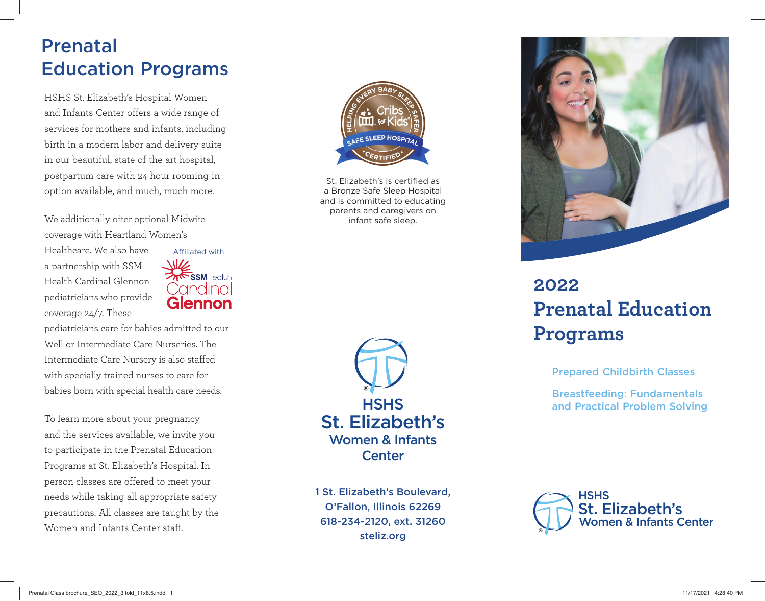## Prenatal Education Programs

HSHS St. Elizabeth's Hospital Women and Infants Center offers a wide range of services for mothers and infants, including birth in a modern labor and delivery suite in our beautiful, state-of-the-art hospital, postpartum care with 24-hour rooming-in option available, and much, much more.

We additionally offer optional Midwife coverage with Heartland Women's

Healthcare. We also have a partnership with SSM Health Cardinal Glennonpediatricians who provide coverage 24/7. These



pediatricians care for babies admitted to our Well or Intermediate Care Nurseries. The Intermediate Care Nursery is also staffed with specially trained nurses to care for babies born with special health care needs.

To learn more about your pregnancy and the services available, we invite you to participate in the Prenatal Education Programs at St. Elizabeth's Hospital. In person classes are offered to meet your needs while taking all appropriate safety precautions. All classes are taught by the Women and Infants Center staff



St. Elizabeth's is certified as a Bronze Safe Sleep Hospital and is committed to educating parents and caregivers on infant safe sleep.



1 St. Elizabeth's Boulevard, O'Fallon, Illinois 62269 618-234-2120, ext. 31260 steliz.org



## **2022Prenatal Education Programs**

Prepared Childbirth Classes

Breastfeeding: Fundamentals and Practical Problem Solving